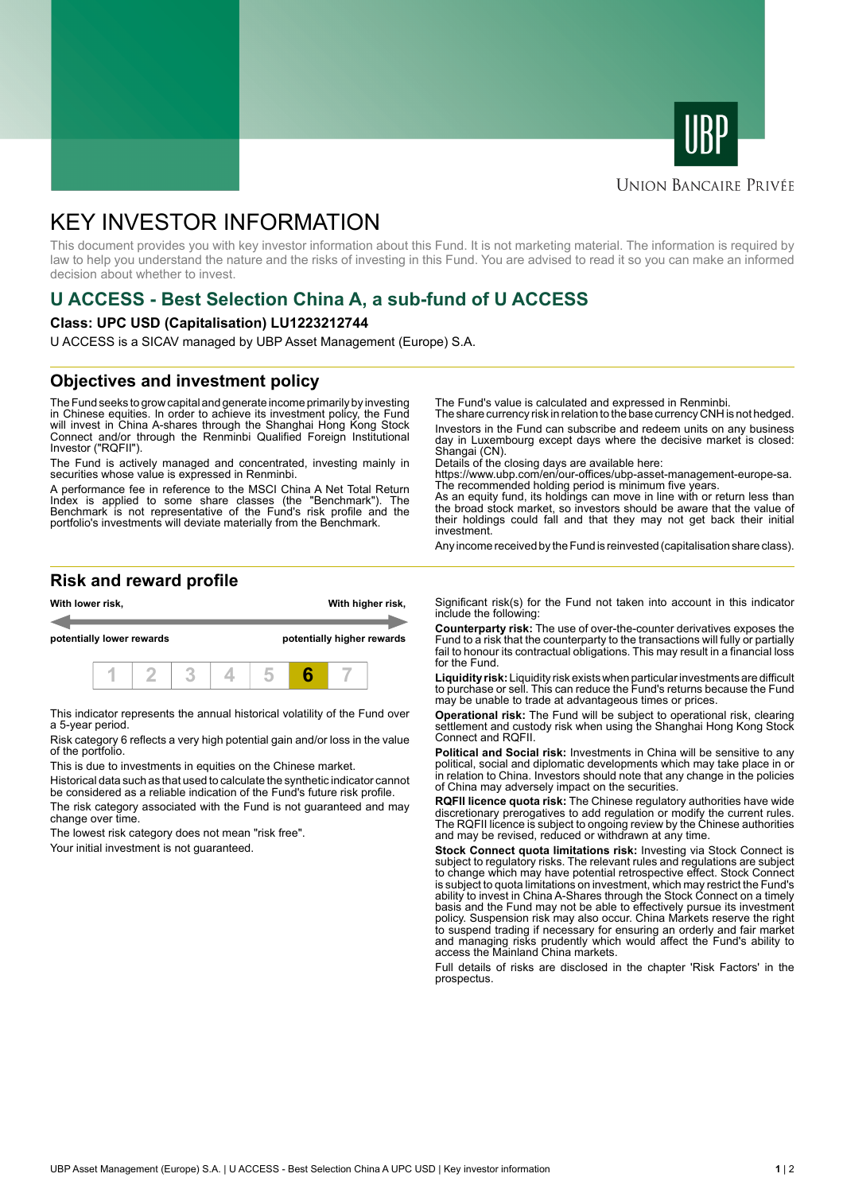



#### **UNION BANCAIRE PRIVÉE**

# KEY INVESTOR INFORMATION

This document provides you with key investor information about this Fund. It is not marketing material. The information is required by law to help you understand the nature and the risks of investing in this Fund. You are advised to read it so you can make an informed decision about whether to invest.

## **U ACCESS - Best Selection China A, a sub-fund of U ACCESS**

#### **Class: UPC USD (Capitalisation) LU1223212744**

U ACCESS is a SICAV managed by UBP Asset Management (Europe) S.A.

### **Objectives and investment policy**

The Fund seeks to grow capital and generate income primarily by investing in Chinese equities. In order to achieve its investment policy, the Fund will invest in China A-shares through the Shanghai Hong Kong Stock Connect and/or through the Renminbi Qualified Foreign Institutional Investor ("RQFII").

The Fund is actively managed and concentrated, investing mainly in securities whose value is expressed in Renminbi.

A performance fee in reference to the MSCI China A Net Total Return Index is applied to some share classes (the "Benchmark"). The Benchmark is not representative of the Fund's risk profile and the portfolio's investments will deviate materially from the Benchmark.

The Fund's value is calculated and expressed in Renminbi.

The share currency risk in relation to the base currency CNH is not hedged. Investors in the Fund can subscribe and redeem units on any business day in Luxembourg except days where the decisive market is closed: Shangai (CN).

Details of the closing days are available here:

https://www.ubp.com/en/our-offices/ubp-asset-management-europe-sa. The recommended holding period is minimum five years.

As an equity fund, its holdings can move in line with or return less than the broad stock market, so investors should be aware that the value of their holdings could fall and that they may not get back their initial investment.

Any income received by the Fund is reinvested (capitalisation share class).

#### **Risk and reward profile**



This indicator represents the annual historical volatility of the Fund over a 5-year period.

Risk category 6 reflects a very high potential gain and/or loss in the value of the portfolio.

This is due to investments in equities on the Chinese market.

Historical data such as that used to calculate the synthetic indicator cannot be considered as a reliable indication of the Fund's future risk profile.

The risk category associated with the Fund is not guaranteed and may change over time.

The lowest risk category does not mean "risk free".

Your initial investment is not guaranteed.

Significant risk(s) for the Fund not taken into account in this indicator include the following:

**Counterparty risk:** The use of over-the-counter derivatives exposes the Fund to a risk that the counterparty to the transactions will fully or partially fail to honour its contractual obligations. This may result in a financial loss for the Fund.

**Liquidity risk:** Liquidity risk exists when particular investments are difficult to purchase or sell. This can reduce the Fund's returns because the Fund may be unable to trade at advantageous times or prices.

**Operational risk:** The Fund will be subject to operational risk, clearing settlement and custody risk when using the Shanghai Hong Kong Stock Connect and RQFII.

**Political and Social risk:** Investments in China will be sensitive to any political, social and diplomatic developments which may take place in or in relation to China. Investors should note that any change in the policies of China may adversely impact on the securities.

**RQFII licence quota risk:** The Chinese regulatory authorities have wide discretionary prerogatives to add regulation or modify the current rules. The RQFII licence is subject to ongoing review by the Chinese authorities and may be revised, reduced or withdrawn at any time.

**Stock Connect quota limitations risk:** Investing via Stock Connect is subject to regulatory risks. The relevant rules and regulations are subject to change which may have potential retrospective effect. Stock Connect is subject to quota limitations on investment, which may restrict the Fund's ability to invest in China A-Shares through the Stock Connect on a timely basis and the Fund may not be able to effectively pursue its investment policy. Suspension risk may also occur. China Markets reserve the right to suspend trading if necessary for ensuring an orderly and fair market and managing risks prudently which would affect the Fund's ability to access the Mainland China markets.

Full details of risks are disclosed in the chapter 'Risk Factors' in the prospectus.